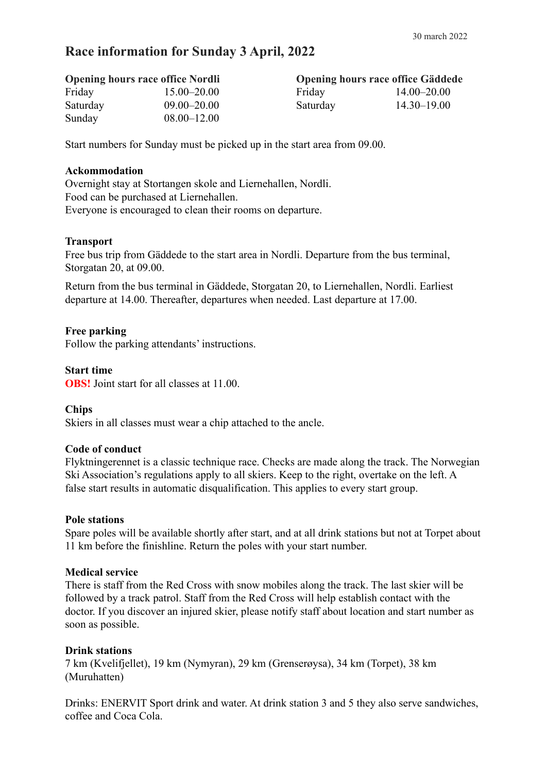# **Race information for Sunday 3 April, 2022**

| <b>Opening hours race office Nordli</b> |                 | <b>Opening hours race office Gäddede</b> |                 |
|-----------------------------------------|-----------------|------------------------------------------|-----------------|
| Friday                                  | $15.00 - 20.00$ | Friday                                   | $14.00 - 20.00$ |
| Saturday                                | $09.00 - 20.00$ | Saturday                                 | $14.30 - 19.00$ |
| Sunday                                  | $08.00 - 12.00$ |                                          |                 |

Start numbers for Sunday must be picked up in the start area from 09.00.

#### **Ackommodation**

Overnight stay at Stortangen skole and Liernehallen, Nordli. Food can be purchased at Liernehallen. Everyone is encouraged to clean their rooms on departure.

#### **Transport**

Free bus trip from Gäddede to the start area in Nordli. Departure from the bus terminal, Storgatan 20, at 09.00.

Return from the bus terminal in Gäddede, Storgatan 20, to Liernehallen, Nordli. Earliest departure at 14.00. Thereafter, departures when needed. Last departure at 17.00.

#### **Free parking**

Follow the parking attendants' instructions.

#### **Start time**

**OBS!** Joint start for all classes at 11.00

#### **Chips**

Skiers in all classes must wear a chip attached to the ancle.

#### **Code of conduct**

Flyktningerennet is a classic technique race. Checks are made along the track. The Norwegian Ski Association's regulations apply to all skiers. Keep to the right, overtake on the left. A false start results in automatic disqualification. This applies to every start group.

#### **Pole stations**

Spare poles will be available shortly after start, and at all drink stations but not at Torpet about 11 km before the finishline. Return the poles with your start number.

#### **Medical service**

There is staff from the Red Cross with snow mobiles along the track. The last skier will be followed by a track patrol. Staff from the Red Cross will help establish contact with the doctor. If you discover an injured skier, please notify staff about location and start number as soon as possible.

#### **Drink stations**

7 km (Kvelifjellet), 19 km (Nymyran), 29 km (Grenserøysa), 34 km (Torpet), 38 km (Muruhatten)

Drinks: ENERVIT Sport drink and water. At drink station 3 and 5 they also serve sandwiches, coffee and Coca Cola.